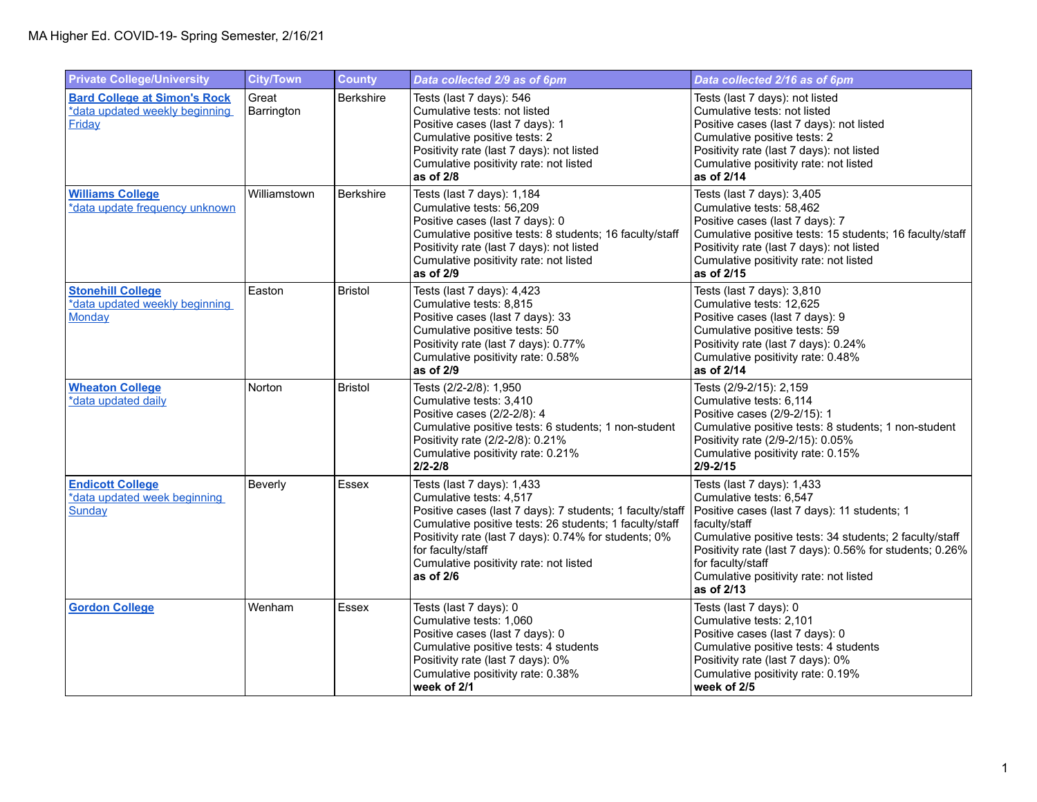| <b>Private College/University</b>                                                      | <b>City/Town</b>    | <b>County</b>    | Data collected 2/9 as of 6pm                                                                                                                                                                                                                                                                                       | Data collected 2/16 as of 6pm                                                                                                                                                                                                                                                                                              |
|----------------------------------------------------------------------------------------|---------------------|------------------|--------------------------------------------------------------------------------------------------------------------------------------------------------------------------------------------------------------------------------------------------------------------------------------------------------------------|----------------------------------------------------------------------------------------------------------------------------------------------------------------------------------------------------------------------------------------------------------------------------------------------------------------------------|
| <b>Bard College at Simon's Rock</b><br>*data updated weekly beginning<br><b>Friday</b> | Great<br>Barrington | <b>Berkshire</b> | Tests (last 7 days): 546<br>Cumulative tests: not listed<br>Positive cases (last 7 days): 1<br>Cumulative positive tests: 2<br>Positivity rate (last 7 days): not listed<br>Cumulative positivity rate: not listed<br>as of 2/8                                                                                    | Tests (last 7 days): not listed<br>Cumulative tests: not listed<br>Positive cases (last 7 days): not listed<br>Cumulative positive tests: 2<br>Positivity rate (last 7 days): not listed<br>Cumulative positivity rate: not listed<br>as of 2/14                                                                           |
| <b>Williams College</b><br>*data update frequency unknown                              | Williamstown        | <b>Berkshire</b> | Tests (last 7 days): 1,184<br>Cumulative tests: 56,209<br>Positive cases (last 7 days): 0<br>Cumulative positive tests: 8 students; 16 faculty/staff<br>Positivity rate (last 7 days): not listed<br>Cumulative positivity rate: not listed<br>as of 2/9                                                           | Tests (last 7 days): 3,405<br>Cumulative tests: 58,462<br>Positive cases (last 7 days): 7<br>Cumulative positive tests: 15 students; 16 faculty/staff<br>Positivity rate (last 7 days): not listed<br>Cumulative positivity rate: not listed<br>as of 2/15                                                                 |
| <b>Stonehill College</b><br>*data updated weekly beginning<br>Monday                   | Easton              | <b>Bristol</b>   | Tests (last 7 days): 4,423<br>Cumulative tests: 8,815<br>Positive cases (last 7 days): 33<br>Cumulative positive tests: 50<br>Positivity rate (last 7 days): 0.77%<br>Cumulative positivity rate: 0.58%<br>as of 2/9                                                                                               | Tests (last 7 days): 3,810<br>Cumulative tests: 12,625<br>Positive cases (last 7 days): 9<br>Cumulative positive tests: 59<br>Positivity rate (last 7 days): 0.24%<br>Cumulative positivity rate: 0.48%<br>as of 2/14                                                                                                      |
| <b>Wheaton College</b><br>*data updated daily                                          | Norton              | <b>Bristol</b>   | Tests (2/2-2/8): 1,950<br>Cumulative tests: 3,410<br>Positive cases (2/2-2/8): 4<br>Cumulative positive tests: 6 students; 1 non-student<br>Positivity rate (2/2-2/8): 0.21%<br>Cumulative positivity rate: 0.21%<br>$2/2 - 2/8$                                                                                   | Tests (2/9-2/15): 2,159<br>Cumulative tests: 6,114<br>Positive cases (2/9-2/15): 1<br>Cumulative positive tests: 8 students; 1 non-student<br>Positivity rate (2/9-2/15): 0.05%<br>Cumulative positivity rate: 0.15%<br>$2/9 - 2/15$                                                                                       |
| <b>Endicott College</b><br>*data updated week beginning<br>Sunday                      | Beverly             | Essex            | Tests (last 7 days): 1,433<br>Cumulative tests: 4,517<br>Positive cases (last 7 days): 7 students; 1 faculty/staff<br>Cumulative positive tests: 26 students; 1 faculty/staff<br>Positivity rate (last 7 days): 0.74% for students; 0%<br>for faculty/staff<br>Cumulative positivity rate: not listed<br>as of 2/6 | Tests (last 7 days): 1,433<br>Cumulative tests: 6,547<br>Positive cases (last 7 days): 11 students; 1<br>faculty/staff<br>Cumulative positive tests: 34 students; 2 faculty/staff<br>Positivity rate (last 7 days): 0.56% for students; 0.26%<br>for faculty/staff<br>Cumulative positivity rate: not listed<br>as of 2/13 |
| <b>Gordon College</b>                                                                  | Wenham              | Essex            | Tests (last 7 days): 0<br>Cumulative tests: 1,060<br>Positive cases (last 7 days): 0<br>Cumulative positive tests: 4 students<br>Positivity rate (last 7 days): 0%<br>Cumulative positivity rate: 0.38%<br>week of 2/1                                                                                             | Tests (last 7 days): 0<br>Cumulative tests: 2,101<br>Positive cases (last 7 days): 0<br>Cumulative positive tests: 4 students<br>Positivity rate (last 7 days): 0%<br>Cumulative positivity rate: 0.19%<br>week of 2/5                                                                                                     |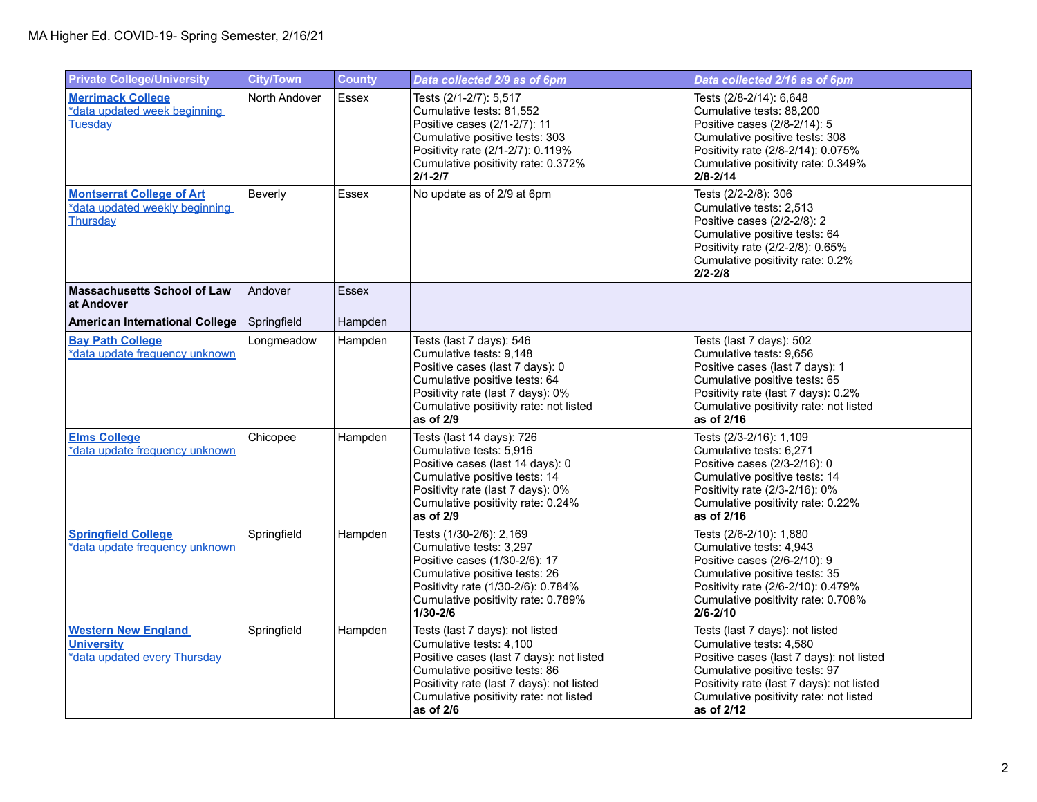| <b>Private College/University</b>                                               | <b>City/Town</b> | <b>County</b> | Data collected 2/9 as of 6pm                                                                                                                                                                                                                  | Data collected 2/16 as of 6pm                                                                                                                                                                                                                |
|---------------------------------------------------------------------------------|------------------|---------------|-----------------------------------------------------------------------------------------------------------------------------------------------------------------------------------------------------------------------------------------------|----------------------------------------------------------------------------------------------------------------------------------------------------------------------------------------------------------------------------------------------|
| <b>Merrimack College</b><br>*data updated week beginning<br><b>Tuesdav</b>      | North Andover    | Essex         | Tests (2/1-2/7): 5,517<br>Cumulative tests: 81,552<br>Positive cases (2/1-2/7): 11<br>Cumulative positive tests: 303<br>Positivity rate (2/1-2/7): 0.119%<br>Cumulative positivity rate: 0.372%<br>$2/1 - 2/7$                                | Tests (2/8-2/14): 6,648<br>Cumulative tests: 88,200<br>Positive cases (2/8-2/14): 5<br>Cumulative positive tests: 308<br>Positivity rate (2/8-2/14): 0.075%<br>Cumulative positivity rate: 0.349%<br>$2/8 - 2/14$                            |
| <b>Montserrat College of Art</b><br>*data updated weekly beginning<br>Thursday  | Beverly          | <b>Essex</b>  | No update as of 2/9 at 6pm                                                                                                                                                                                                                    | Tests (2/2-2/8): 306<br>Cumulative tests: 2,513<br>Positive cases (2/2-2/8): 2<br>Cumulative positive tests: 64<br>Positivity rate (2/2-2/8): 0.65%<br>Cumulative positivity rate: 0.2%<br>$2/2 - 2/8$                                       |
| <b>Massachusetts School of Law</b><br>at Andover                                | Andover          | <b>Essex</b>  |                                                                                                                                                                                                                                               |                                                                                                                                                                                                                                              |
| <b>American International College</b>                                           | Springfield      | Hampden       |                                                                                                                                                                                                                                               |                                                                                                                                                                                                                                              |
| <b>Bav Path College</b><br>*data update frequency unknown                       | Longmeadow       | Hampden       | Tests (last 7 days): 546<br>Cumulative tests: 9,148<br>Positive cases (last 7 days): 0<br>Cumulative positive tests: 64<br>Positivity rate (last 7 days): 0%<br>Cumulative positivity rate: not listed<br>as of 2/9                           | Tests (last 7 days): 502<br>Cumulative tests: 9,656<br>Positive cases (last 7 days): 1<br>Cumulative positive tests: 65<br>Positivity rate (last 7 days): 0.2%<br>Cumulative positivity rate: not listed<br>as of 2/16                       |
| <b>Elms College</b><br>*data update frequency unknown                           | Chicopee         | Hampden       | Tests (last 14 days): 726<br>Cumulative tests: 5,916<br>Positive cases (last 14 days): 0<br>Cumulative positive tests: 14<br>Positivity rate (last 7 days): 0%<br>Cumulative positivity rate: 0.24%<br>as of 2/9                              | Tests (2/3-2/16): 1,109<br>Cumulative tests: 6,271<br>Positive cases (2/3-2/16): 0<br>Cumulative positive tests: 14<br>Positivity rate (2/3-2/16): 0%<br>Cumulative positivity rate: 0.22%<br>as of 2/16                                     |
| <b>Springfield College</b><br>*data update frequency unknown                    | Springfield      | Hampden       | Tests (1/30-2/6): 2,169<br>Cumulative tests: 3,297<br>Positive cases (1/30-2/6): 17<br>Cumulative positive tests: 26<br>Positivity rate (1/30-2/6): 0.784%<br>Cumulative positivity rate: 0.789%<br>$1/30 - 2/6$                              | Tests (2/6-2/10): 1,880<br>Cumulative tests: 4,943<br>Positive cases (2/6-2/10): 9<br>Cumulative positive tests: 35<br>Positivity rate (2/6-2/10): 0.479%<br>Cumulative positivity rate: 0.708%<br>$2/6 - 2/10$                              |
| <b>Western New England</b><br><b>University</b><br>*data updated every Thursday | Springfield      | Hampden       | Tests (last 7 days): not listed<br>Cumulative tests: 4,100<br>Positive cases (last 7 days): not listed<br>Cumulative positive tests: 86<br>Positivity rate (last 7 days): not listed<br>Cumulative positivity rate: not listed<br>as of $2/6$ | Tests (last 7 days): not listed<br>Cumulative tests: 4,580<br>Positive cases (last 7 days): not listed<br>Cumulative positive tests: 97<br>Positivity rate (last 7 days): not listed<br>Cumulative positivity rate: not listed<br>as of 2/12 |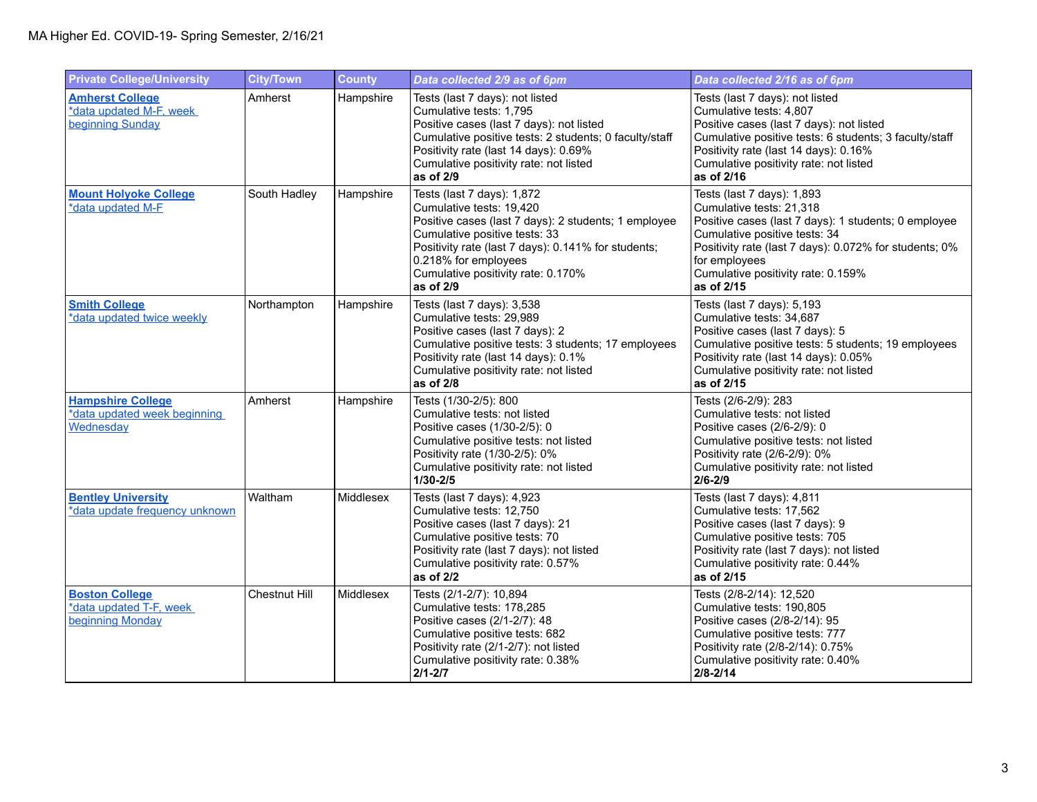| <b>Private College/University</b>                                     | <b>City/Town</b> | <b>County</b> | Data collected 2/9 as of 6pm                                                                                                                                                                                                                                                      | Data collected 2/16 as of 6pm                                                                                                                                                                                                                                                  |
|-----------------------------------------------------------------------|------------------|---------------|-----------------------------------------------------------------------------------------------------------------------------------------------------------------------------------------------------------------------------------------------------------------------------------|--------------------------------------------------------------------------------------------------------------------------------------------------------------------------------------------------------------------------------------------------------------------------------|
| <b>Amherst College</b><br>*data updated M-F, week<br>beginning Sunday | Amherst          | Hampshire     | Tests (last 7 days): not listed<br>Cumulative tests: 1,795<br>Positive cases (last 7 days): not listed<br>Cumulative positive tests: 2 students; 0 faculty/staff<br>Positivity rate (last 14 days): 0.69%<br>Cumulative positivity rate: not listed<br>as of 2/9                  | Tests (last 7 days): not listed<br>Cumulative tests: 4,807<br>Positive cases (last 7 days): not listed<br>Cumulative positive tests: 6 students; 3 faculty/staff<br>Positivity rate (last 14 days): 0.16%<br>Cumulative positivity rate: not listed<br>as of 2/16              |
| <b>Mount Holyoke College</b><br>*data updated M-F                     | South Hadley     | Hampshire     | Tests (last 7 days): 1,872<br>Cumulative tests: 19,420<br>Positive cases (last 7 days): 2 students; 1 employee<br>Cumulative positive tests: 33<br>Positivity rate (last 7 days): 0.141% for students;<br>0.218% for employees<br>Cumulative positivity rate: 0.170%<br>as of 2/9 | Tests (last 7 days): 1,893<br>Cumulative tests: 21,318<br>Positive cases (last 7 days): 1 students; 0 employee<br>Cumulative positive tests: 34<br>Positivity rate (last 7 days): 0.072% for students; 0%<br>for employees<br>Cumulative positivity rate: 0.159%<br>as of 2/15 |
| <b>Smith College</b><br>*data updated twice weekly                    | Northampton      | Hampshire     | Tests (last 7 days): 3,538<br>Cumulative tests: 29,989<br>Positive cases (last 7 days): 2<br>Cumulative positive tests: 3 students; 17 employees<br>Positivity rate (last 14 days): 0.1%<br>Cumulative positivity rate: not listed<br>as of 2/8                                   | Tests (last 7 days): 5,193<br>Cumulative tests: 34,687<br>Positive cases (last 7 days): 5<br>Cumulative positive tests: 5 students; 19 employees<br>Positivity rate (last 14 days): 0.05%<br>Cumulative positivity rate: not listed<br>as of 2/15                              |
| <b>Hampshire College</b><br>*data updated week beginning<br>Wednesday | Amherst          | Hampshire     | Tests (1/30-2/5): 800<br>Cumulative tests: not listed<br>Positive cases (1/30-2/5): 0<br>Cumulative positive tests: not listed<br>Positivity rate (1/30-2/5): 0%<br>Cumulative positivity rate: not listed<br>$1/30 - 2/5$                                                        | Tests (2/6-2/9): 283<br>Cumulative tests: not listed<br>Positive cases (2/6-2/9): 0<br>Cumulative positive tests: not listed<br>Positivity rate (2/6-2/9): 0%<br>Cumulative positivity rate: not listed<br>$2/6 - 2/9$                                                         |
| <b>Bentley University</b><br>*data update frequency unknown           | Waltham          | Middlesex     | Tests (last 7 days): 4,923<br>Cumulative tests: 12,750<br>Positive cases (last 7 days): 21<br>Cumulative positive tests: 70<br>Positivity rate (last 7 days): not listed<br>Cumulative positivity rate: 0.57%<br>as of 2/2                                                        | Tests (last 7 days): 4,811<br>Cumulative tests: 17,562<br>Positive cases (last 7 days): 9<br>Cumulative positive tests: 705<br>Positivity rate (last 7 days): not listed<br>Cumulative positivity rate: 0.44%<br>as of 2/15                                                    |
| <b>Boston College</b><br>*data updated T-F, week<br>beginning Monday  | Chestnut Hill    | Middlesex     | Tests (2/1-2/7): 10,894<br>Cumulative tests: 178,285<br>Positive cases (2/1-2/7): 48<br>Cumulative positive tests: 682<br>Positivity rate (2/1-2/7): not listed<br>Cumulative positivity rate: 0.38%<br>$2/1 - 2/7$                                                               | Tests (2/8-2/14): 12,520<br>Cumulative tests: 190,805<br>Positive cases (2/8-2/14): 95<br>Cumulative positive tests: 777<br>Positivity rate (2/8-2/14): 0.75%<br>Cumulative positivity rate: 0.40%<br>$2/8 - 2/14$                                                             |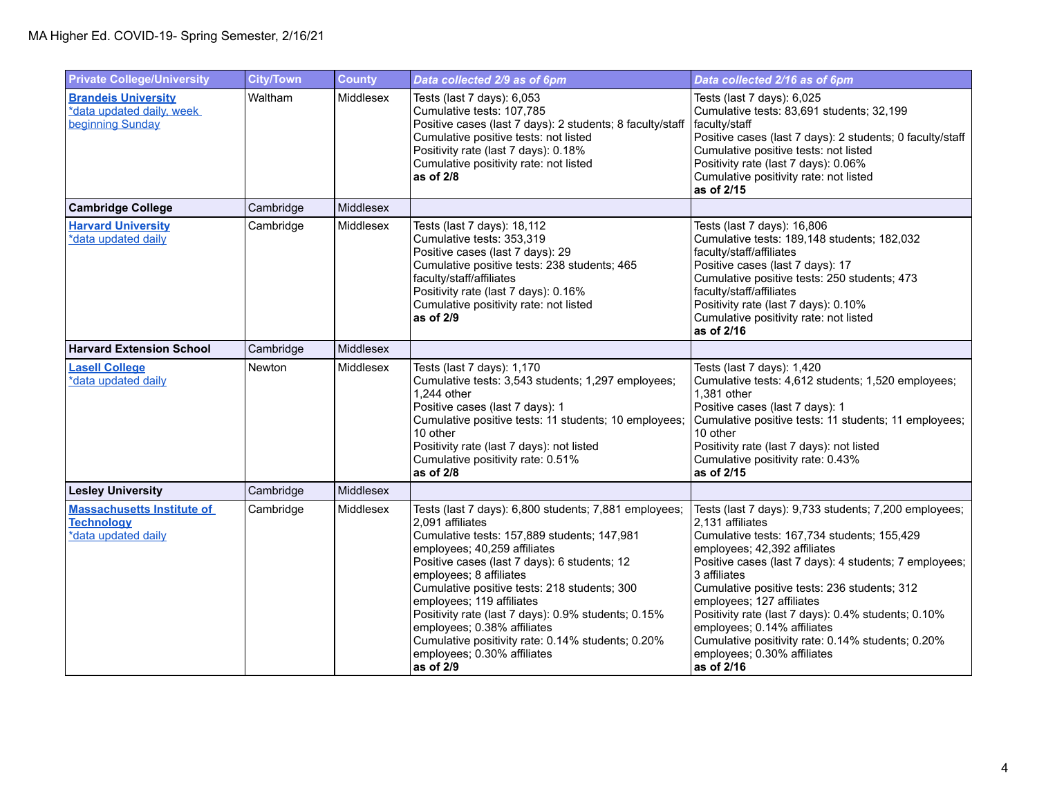| <b>Private College/University</b>                                             | <b>City/Town</b> | <b>County</b> | Data collected 2/9 as of 6pm                                                                                                                                                                                                                                                                                                                                                                                                                                                                            | Data collected 2/16 as of 6pm                                                                                                                                                                                                                                                                                                                                                                                                                                                                           |
|-------------------------------------------------------------------------------|------------------|---------------|---------------------------------------------------------------------------------------------------------------------------------------------------------------------------------------------------------------------------------------------------------------------------------------------------------------------------------------------------------------------------------------------------------------------------------------------------------------------------------------------------------|---------------------------------------------------------------------------------------------------------------------------------------------------------------------------------------------------------------------------------------------------------------------------------------------------------------------------------------------------------------------------------------------------------------------------------------------------------------------------------------------------------|
| <b>Brandeis University</b><br>*data updated daily, week<br>beginning Sunday   | Waltham          | Middlesex     | Tests (last 7 days): 6,053<br>Cumulative tests: 107,785<br>Positive cases (last 7 days): 2 students; 8 faculty/staff<br>Cumulative positive tests: not listed<br>Positivity rate (last 7 days): 0.18%<br>Cumulative positivity rate: not listed<br>as of 2/8                                                                                                                                                                                                                                            | Tests (last 7 days): 6,025<br>Cumulative tests: 83,691 students; 32,199<br>faculty/staff<br>Positive cases (last 7 days): 2 students; 0 faculty/staff<br>Cumulative positive tests: not listed<br>Positivity rate (last 7 days): 0.06%<br>Cumulative positivity rate: not listed<br>as of 2/15                                                                                                                                                                                                          |
| <b>Cambridge College</b>                                                      | Cambridge        | Middlesex     |                                                                                                                                                                                                                                                                                                                                                                                                                                                                                                         |                                                                                                                                                                                                                                                                                                                                                                                                                                                                                                         |
| <b>Harvard University</b><br>*data updated daily                              | Cambridge        | Middlesex     | Tests (last 7 days): 18,112<br>Cumulative tests: 353,319<br>Positive cases (last 7 days): 29<br>Cumulative positive tests: 238 students; 465<br>faculty/staff/affiliates<br>Positivity rate (last 7 days): 0.16%<br>Cumulative positivity rate: not listed<br>as of 2/9                                                                                                                                                                                                                                 | Tests (last 7 days): 16,806<br>Cumulative tests: 189,148 students; 182,032<br>faculty/staff/affiliates<br>Positive cases (last 7 days): 17<br>Cumulative positive tests: 250 students; 473<br>faculty/staff/affiliates<br>Positivity rate (last 7 days): 0.10%<br>Cumulative positivity rate: not listed<br>as of 2/16                                                                                                                                                                                  |
| <b>Harvard Extension School</b>                                               | Cambridge        | Middlesex     |                                                                                                                                                                                                                                                                                                                                                                                                                                                                                                         |                                                                                                                                                                                                                                                                                                                                                                                                                                                                                                         |
| <b>Lasell College</b><br>*data updated daily                                  | Newton           | Middlesex     | Tests (last 7 days): 1,170<br>Cumulative tests: 3,543 students; 1,297 employees;<br>1,244 other<br>Positive cases (last 7 days): 1<br>Cumulative positive tests: 11 students; 10 employees;<br>10 other<br>Positivity rate (last 7 days): not listed<br>Cumulative positivity rate: 0.51%<br>as of 2/8                                                                                                                                                                                                  | Tests (last 7 days): 1,420<br>Cumulative tests: 4,612 students; 1,520 employees;<br>1,381 other<br>Positive cases (last 7 days): 1<br>Cumulative positive tests: 11 students; 11 employees;<br>10 other<br>Positivity rate (last 7 days): not listed<br>Cumulative positivity rate: 0.43%<br>as of 2/15                                                                                                                                                                                                 |
| <b>Lesley University</b>                                                      | Cambridge        | Middlesex     |                                                                                                                                                                                                                                                                                                                                                                                                                                                                                                         |                                                                                                                                                                                                                                                                                                                                                                                                                                                                                                         |
| <b>Massachusetts Institute of</b><br><b>Technology</b><br>*data updated daily | Cambridge        | Middlesex     | Tests (last 7 days): 6,800 students; 7,881 employees;<br>2,091 affiliates<br>Cumulative tests: 157,889 students; 147,981<br>employees; 40,259 affiliates<br>Positive cases (last 7 days): 6 students; 12<br>employees; 8 affiliates<br>Cumulative positive tests: 218 students; 300<br>employees; 119 affiliates<br>Positivity rate (last 7 days): 0.9% students; 0.15%<br>employees; 0.38% affiliates<br>Cumulative positivity rate: 0.14% students; 0.20%<br>employees; 0.30% affiliates<br>as of 2/9 | Tests (last 7 days): 9,733 students; 7,200 employees;<br>2,131 affiliates<br>Cumulative tests: 167,734 students; 155,429<br>employees; 42,392 affiliates<br>Positive cases (last 7 days): 4 students; 7 employees;<br>3 affiliates<br>Cumulative positive tests: 236 students; 312<br>employees; 127 affiliates<br>Positivity rate (last 7 days): 0.4% students; 0.10%<br>employees; 0.14% affiliates<br>Cumulative positivity rate: 0.14% students; 0.20%<br>employees; 0.30% affiliates<br>as of 2/16 |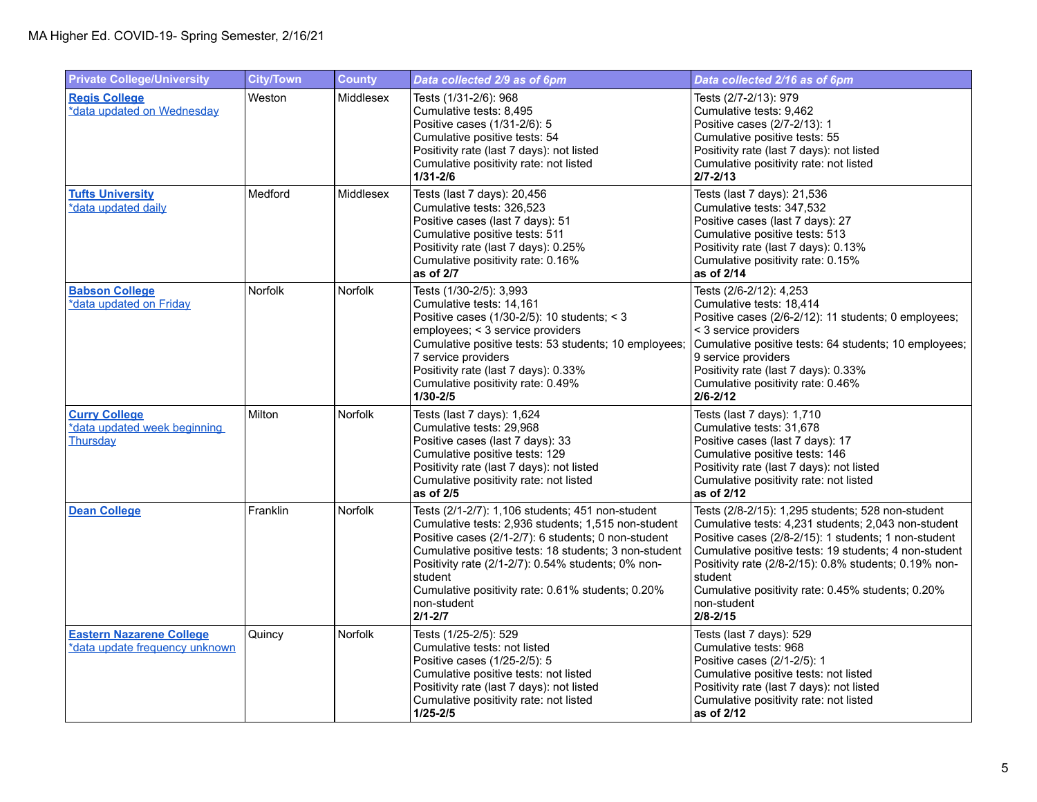| <b>Private College/University</b>                                 | <b>City/Town</b> | <b>County</b>  | Data collected 2/9 as of 6pm                                                                                                                                                                                                                                                                                                                                                | Data collected 2/16 as of 6pm                                                                                                                                                                                                                                                                                                                                                     |
|-------------------------------------------------------------------|------------------|----------------|-----------------------------------------------------------------------------------------------------------------------------------------------------------------------------------------------------------------------------------------------------------------------------------------------------------------------------------------------------------------------------|-----------------------------------------------------------------------------------------------------------------------------------------------------------------------------------------------------------------------------------------------------------------------------------------------------------------------------------------------------------------------------------|
| <b>Regis College</b><br>*data updated on Wednesday                | Weston           | Middlesex      | Tests (1/31-2/6): 968<br>Cumulative tests: 8,495<br>Positive cases (1/31-2/6): 5<br>Cumulative positive tests: 54<br>Positivity rate (last 7 days): not listed<br>Cumulative positivity rate: not listed<br>$1/31 - 2/6$                                                                                                                                                    | Tests (2/7-2/13): 979<br>Cumulative tests: 9,462<br>Positive cases (2/7-2/13): 1<br>Cumulative positive tests: 55<br>Positivity rate (last 7 days): not listed<br>Cumulative positivity rate: not listed<br>$2/7 - 2/13$                                                                                                                                                          |
| <b>Tufts University</b><br>*data updated daily                    | Medford          | Middlesex      | Tests (last 7 days): 20,456<br>Cumulative tests: 326,523<br>Positive cases (last 7 days): 51<br>Cumulative positive tests: 511<br>Positivity rate (last 7 days): 0.25%<br>Cumulative positivity rate: 0.16%<br>as of 2/7                                                                                                                                                    | Tests (last 7 days): 21,536<br>Cumulative tests: 347,532<br>Positive cases (last 7 days): 27<br>Cumulative positive tests: 513<br>Positivity rate (last 7 days): 0.13%<br>Cumulative positivity rate: 0.15%<br>as of 2/14                                                                                                                                                         |
| <b>Babson College</b><br>*data updated on Friday                  | Norfolk          | <b>Norfolk</b> | Tests (1/30-2/5): 3,993<br>Cumulative tests: 14,161<br>Positive cases (1/30-2/5): 10 students; < 3<br>employees; < 3 service providers<br>Cumulative positive tests: 53 students; 10 employees;<br>7 service providers<br>Positivity rate (last 7 days): 0.33%<br>Cumulative positivity rate: 0.49%<br>$1/30 - 2/5$                                                         | Tests (2/6-2/12): 4,253<br>Cumulative tests: 18,414<br>Positive cases (2/6-2/12): 11 students; 0 employees;<br>< 3 service providers<br>Cumulative positive tests: 64 students; 10 employees;<br>9 service providers<br>Positivity rate (last 7 days): 0.33%<br>Cumulative positivity rate: 0.46%<br>$2/6 - 2/12$                                                                 |
| <b>Curry College</b><br>*data updated week beginning<br>Thursday  | Milton           | Norfolk        | Tests (last 7 days): 1,624<br>Cumulative tests: 29,968<br>Positive cases (last 7 days): 33<br>Cumulative positive tests: 129<br>Positivity rate (last 7 days): not listed<br>Cumulative positivity rate: not listed<br>as of 2/5                                                                                                                                            | Tests (last 7 days): 1,710<br>Cumulative tests: 31,678<br>Positive cases (last 7 days): 17<br>Cumulative positive tests: 146<br>Positivity rate (last 7 days): not listed<br>Cumulative positivity rate: not listed<br>as of 2/12                                                                                                                                                 |
| <b>Dean College</b>                                               | Franklin         | Norfolk        | Tests (2/1-2/7): 1,106 students; 451 non-student<br>Cumulative tests: 2,936 students: 1,515 non-student<br>Positive cases (2/1-2/7): 6 students; 0 non-student<br>Cumulative positive tests: 18 students; 3 non-student<br>Positivity rate (2/1-2/7): 0.54% students; 0% non-<br>student<br>Cumulative positivity rate: 0.61% students; 0.20%<br>non-student<br>$2/1 - 2/7$ | Tests (2/8-2/15): 1,295 students; 528 non-student<br>Cumulative tests: 4,231 students; 2,043 non-student<br>Positive cases (2/8-2/15): 1 students; 1 non-student<br>Cumulative positive tests: 19 students; 4 non-student<br>Positivity rate (2/8-2/15): 0.8% students; 0.19% non-<br>student<br>Cumulative positivity rate: 0.45% students; 0.20%<br>non-student<br>$2/8 - 2/15$ |
| <b>Eastern Nazarene College</b><br>*data update frequency unknown | Quincy           | Norfolk        | Tests (1/25-2/5): 529<br>Cumulative tests: not listed<br>Positive cases (1/25-2/5): 5<br>Cumulative positive tests: not listed<br>Positivity rate (last 7 days): not listed<br>Cumulative positivity rate: not listed<br>$1/25 - 2/5$                                                                                                                                       | Tests (last 7 days): 529<br>Cumulative tests: 968<br>Positive cases (2/1-2/5): 1<br>Cumulative positive tests: not listed<br>Positivity rate (last 7 days): not listed<br>Cumulative positivity rate: not listed<br>as of 2/12                                                                                                                                                    |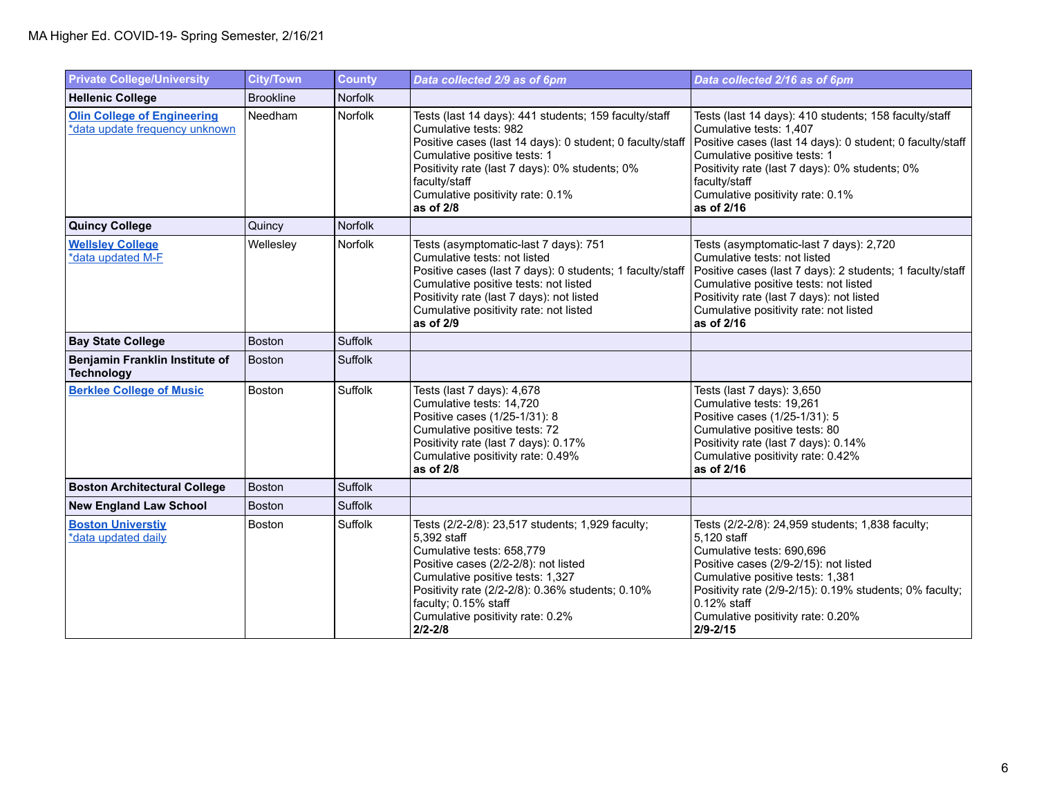| <b>Private College/University</b>                                    | <b>City/Town</b> | <b>County</b>  | Data collected 2/9 as of 6pm                                                                                                                                                                                                                                                                            | Data collected 2/16 as of 6pm                                                                                                                                                                                                                                                                              |
|----------------------------------------------------------------------|------------------|----------------|---------------------------------------------------------------------------------------------------------------------------------------------------------------------------------------------------------------------------------------------------------------------------------------------------------|------------------------------------------------------------------------------------------------------------------------------------------------------------------------------------------------------------------------------------------------------------------------------------------------------------|
| <b>Hellenic College</b>                                              | <b>Brookline</b> | <b>Norfolk</b> |                                                                                                                                                                                                                                                                                                         |                                                                                                                                                                                                                                                                                                            |
| <b>Olin College of Engineering</b><br>*data update frequency unknown | Needham          | Norfolk        | Tests (last 14 days): 441 students; 159 faculty/staff<br>Cumulative tests: 982<br>Positive cases (last 14 days): 0 student; 0 faculty/staff<br>Cumulative positive tests: 1<br>Positivity rate (last 7 days): 0% students; 0%<br>faculty/staff<br>Cumulative positivity rate: 0.1%<br>as of $2/8$       | Tests (last 14 days): 410 students; 158 faculty/staff<br>Cumulative tests: 1,407<br>Positive cases (last 14 days): 0 student; 0 faculty/staff<br>Cumulative positive tests: 1<br>Positivity rate (last 7 days): 0% students; 0%<br>faculty/staff<br>Cumulative positivity rate: 0.1%<br>as of 2/16         |
| <b>Quincy College</b>                                                | Quincy           | <b>Norfolk</b> |                                                                                                                                                                                                                                                                                                         |                                                                                                                                                                                                                                                                                                            |
| <b>Wellsley College</b><br>*data updated M-F                         | Wellesley        | Norfolk        | Tests (asymptomatic-last 7 days): 751<br>Cumulative tests: not listed<br>Positive cases (last 7 days): 0 students; 1 faculty/staff<br>Cumulative positive tests: not listed<br>Positivity rate (last 7 days): not listed<br>Cumulative positivity rate: not listed<br>as of 2/9                         | Tests (asymptomatic-last 7 days): 2,720<br>Cumulative tests: not listed<br>Positive cases (last 7 days): 2 students; 1 faculty/staff<br>Cumulative positive tests: not listed<br>Positivity rate (last 7 days): not listed<br>Cumulative positivity rate: not listed<br>as of 2/16                         |
| <b>Bay State College</b>                                             | <b>Boston</b>    | Suffolk        |                                                                                                                                                                                                                                                                                                         |                                                                                                                                                                                                                                                                                                            |
| Benjamin Franklin Institute of<br><b>Technology</b>                  | <b>Boston</b>    | Suffolk        |                                                                                                                                                                                                                                                                                                         |                                                                                                                                                                                                                                                                                                            |
| <b>Berklee College of Music</b>                                      | Boston           | Suffolk        | Tests (last 7 days): 4,678<br>Cumulative tests: 14,720<br>Positive cases (1/25-1/31): 8<br>Cumulative positive tests: 72<br>Positivity rate (last 7 days): 0.17%<br>Cumulative positivity rate: 0.49%<br>as of $2/8$                                                                                    | Tests (last 7 days): 3,650<br>Cumulative tests: 19,261<br>Positive cases (1/25-1/31): 5<br>Cumulative positive tests: 80<br>Positivity rate (last 7 days): 0.14%<br>Cumulative positivity rate: 0.42%<br>as of 2/16                                                                                        |
| <b>Boston Architectural College</b>                                  | <b>Boston</b>    | <b>Suffolk</b> |                                                                                                                                                                                                                                                                                                         |                                                                                                                                                                                                                                                                                                            |
| <b>New England Law School</b>                                        | Boston           | Suffolk        |                                                                                                                                                                                                                                                                                                         |                                                                                                                                                                                                                                                                                                            |
| <b>Boston Universtiv</b><br>*data updated daily                      | <b>Boston</b>    | Suffolk        | Tests (2/2-2/8): 23,517 students; 1,929 faculty;<br>5.392 staff<br>Cumulative tests: 658.779<br>Positive cases (2/2-2/8): not listed<br>Cumulative positive tests: 1,327<br>Positivity rate (2/2-2/8): 0.36% students; 0.10%<br>faculty; 0.15% staff<br>Cumulative positivity rate: 0.2%<br>$2/2 - 2/8$ | Tests (2/2-2/8): 24,959 students; 1,838 faculty;<br>5.120 staff<br>Cumulative tests: 690.696<br>Positive cases (2/9-2/15): not listed<br>Cumulative positive tests: 1,381<br>Positivity rate (2/9-2/15): 0.19% students; 0% faculty;<br>$0.12%$ staff<br>Cumulative positivity rate: 0.20%<br>$2/9 - 2/15$ |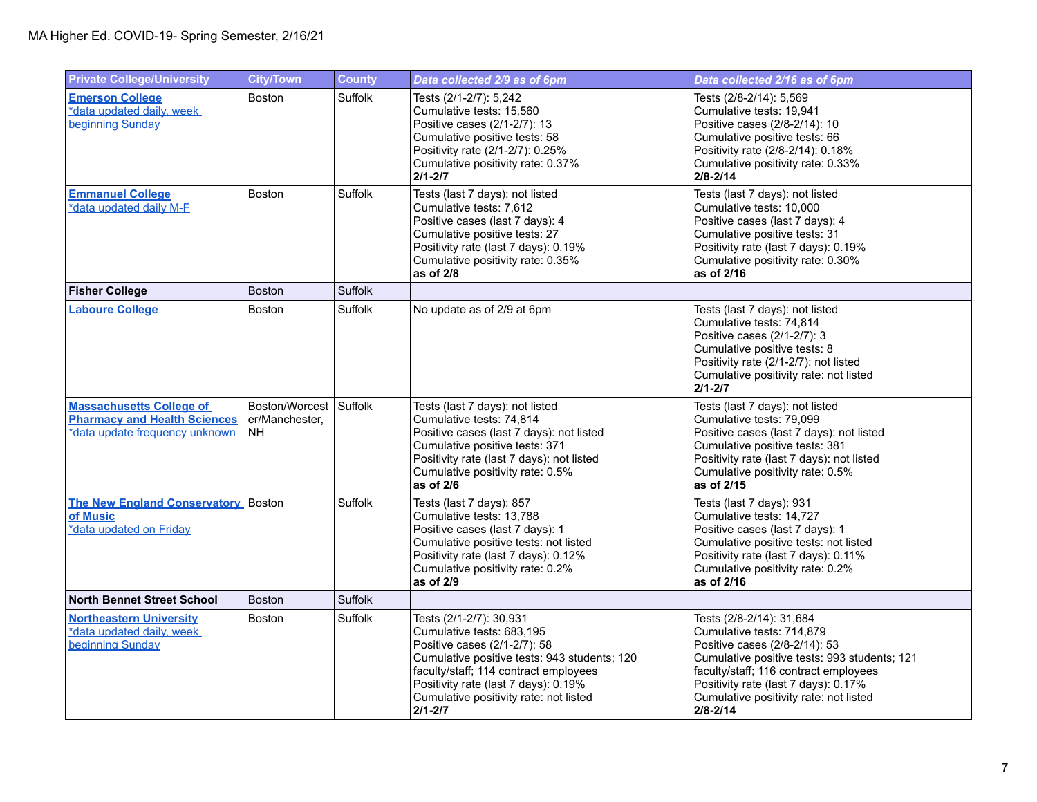| <b>Private College/University</b>                                                                        | <b>City/Town</b>                       | <b>County</b>  | Data collected 2/9 as of 6pm                                                                                                                                                                                                                                                   | Data collected 2/16 as of 6pm                                                                                                                                                                                                                                                     |
|----------------------------------------------------------------------------------------------------------|----------------------------------------|----------------|--------------------------------------------------------------------------------------------------------------------------------------------------------------------------------------------------------------------------------------------------------------------------------|-----------------------------------------------------------------------------------------------------------------------------------------------------------------------------------------------------------------------------------------------------------------------------------|
| <b>Emerson College</b><br>*data updated daily, week<br>beginning Sunday                                  | <b>Boston</b>                          | Suffolk        | Tests (2/1-2/7): 5,242<br>Cumulative tests: 15,560<br>Positive cases (2/1-2/7): 13<br>Cumulative positive tests: 58<br>Positivity rate (2/1-2/7): 0.25%<br>Cumulative positivity rate: 0.37%<br>$2/1 - 2/7$                                                                    | Tests (2/8-2/14): 5,569<br>Cumulative tests: 19,941<br>Positive cases (2/8-2/14): 10<br>Cumulative positive tests: 66<br>Positivity rate (2/8-2/14): 0.18%<br>Cumulative positivity rate: 0.33%<br>$2/8 - 2/14$                                                                   |
| <b>Emmanuel College</b><br>*data updated daily M-F                                                       | Boston                                 | Suffolk        | Tests (last 7 days): not listed<br>Cumulative tests: 7.612<br>Positive cases (last 7 days): 4<br>Cumulative positive tests: 27<br>Positivity rate (last 7 days): 0.19%<br>Cumulative positivity rate: 0.35%<br>as of 2/8                                                       | Tests (last 7 days): not listed<br>Cumulative tests: 10.000<br>Positive cases (last 7 days): 4<br>Cumulative positive tests: 31<br>Positivity rate (last 7 days): 0.19%<br>Cumulative positivity rate: 0.30%<br>as of 2/16                                                        |
| <b>Fisher College</b>                                                                                    | <b>Boston</b>                          | <b>Suffolk</b> |                                                                                                                                                                                                                                                                                |                                                                                                                                                                                                                                                                                   |
| <b>Laboure College</b>                                                                                   | <b>Boston</b>                          | Suffolk        | No update as of 2/9 at 6pm                                                                                                                                                                                                                                                     | Tests (last 7 days): not listed<br>Cumulative tests: 74,814<br>Positive cases (2/1-2/7): 3<br>Cumulative positive tests: 8<br>Positivity rate (2/1-2/7): not listed<br>Cumulative positivity rate: not listed<br>$2/1 - 2/7$                                                      |
| <b>Massachusetts College of</b><br><b>Pharmacy and Health Sciences</b><br>*data update frequency unknown | Boston/Worcest<br>er/Manchester.<br>NΗ | Suffolk        | Tests (last 7 days): not listed<br>Cumulative tests: 74.814<br>Positive cases (last 7 days): not listed<br>Cumulative positive tests: 371<br>Positivity rate (last 7 days): not listed<br>Cumulative positivity rate: 0.5%<br>as of 2/6                                        | Tests (last 7 days): not listed<br>Cumulative tests: 79,099<br>Positive cases (last 7 days): not listed<br>Cumulative positive tests: 381<br>Positivity rate (last 7 days): not listed<br>Cumulative positivity rate: 0.5%<br>as of 2/15                                          |
| <b>The New England Conservatory</b> Boston<br>of Music<br>*data updated on Friday                        |                                        | Suffolk        | Tests (last 7 days): 857<br>Cumulative tests: 13.788<br>Positive cases (last 7 days): 1<br>Cumulative positive tests: not listed<br>Positivity rate (last 7 days): 0.12%<br>Cumulative positivity rate: 0.2%<br>as of 2/9                                                      | Tests (last 7 days): 931<br>Cumulative tests: 14.727<br>Positive cases (last 7 days): 1<br>Cumulative positive tests: not listed<br>Positivity rate (last 7 days): 0.11%<br>Cumulative positivity rate: 0.2%<br>as of 2/16                                                        |
| <b>North Bennet Street School</b>                                                                        | <b>Boston</b>                          | Suffolk        |                                                                                                                                                                                                                                                                                |                                                                                                                                                                                                                                                                                   |
| <b>Northeastern University</b><br>*data updated daily, week<br>beginning Sunday                          | <b>Boston</b>                          | Suffolk        | Tests (2/1-2/7): 30,931<br>Cumulative tests: 683,195<br>Positive cases (2/1-2/7): 58<br>Cumulative positive tests: 943 students; 120<br>faculty/staff; 114 contract employees<br>Positivity rate (last 7 days): 0.19%<br>Cumulative positivity rate: not listed<br>$2/1 - 2/7$ | Tests (2/8-2/14): 31,684<br>Cumulative tests: 714,879<br>Positive cases (2/8-2/14): 53<br>Cumulative positive tests: 993 students; 121<br>faculty/staff; 116 contract employees<br>Positivity rate (last 7 days): 0.17%<br>Cumulative positivity rate: not listed<br>$2/8 - 2/14$ |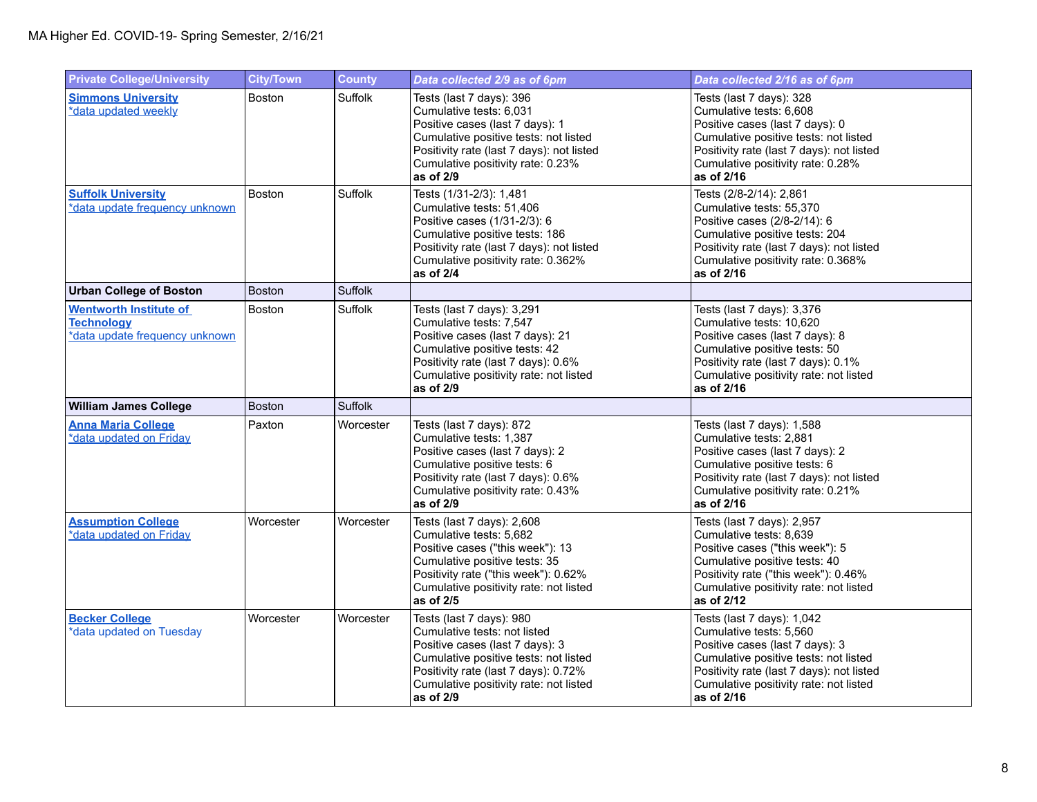| <b>Private College/University</b>                                                    | <b>City/Town</b> | <b>County</b> | Data collected 2/9 as of 6pm                                                                                                                                                                                                        | Data collected 2/16 as of 6pm                                                                                                                                                                                                          |
|--------------------------------------------------------------------------------------|------------------|---------------|-------------------------------------------------------------------------------------------------------------------------------------------------------------------------------------------------------------------------------------|----------------------------------------------------------------------------------------------------------------------------------------------------------------------------------------------------------------------------------------|
| <b>Simmons University</b><br>*data updated weekly                                    | <b>Boston</b>    | Suffolk       | Tests (last 7 days): 396<br>Cumulative tests: 6,031<br>Positive cases (last 7 days): 1<br>Cumulative positive tests: not listed<br>Positivity rate (last 7 days): not listed<br>Cumulative positivity rate: 0.23%<br>as of 2/9      | Tests (last 7 days): 328<br>Cumulative tests: 6,608<br>Positive cases (last 7 days): 0<br>Cumulative positive tests: not listed<br>Positivity rate (last 7 days): not listed<br>Cumulative positivity rate: 0.28%<br>as of 2/16        |
| <b>Suffolk University</b><br>*data update frequency unknown                          | Boston           | Suffolk       | Tests (1/31-2/3): 1,481<br>Cumulative tests: 51,406<br>Positive cases (1/31-2/3): 6<br>Cumulative positive tests: 186<br>Positivity rate (last 7 days): not listed<br>Cumulative positivity rate: 0.362%<br>as of 2/4               | Tests (2/8-2/14): 2,861<br>Cumulative tests: 55,370<br>Positive cases (2/8-2/14): 6<br>Cumulative positive tests: 204<br>Positivity rate (last 7 days): not listed<br>Cumulative positivity rate: 0.368%<br>as of 2/16                 |
| <b>Urban College of Boston</b>                                                       | <b>Boston</b>    | Suffolk       |                                                                                                                                                                                                                                     |                                                                                                                                                                                                                                        |
| <b>Wentworth Institute of</b><br><b>Technology</b><br>*data update frequency unknown | <b>Boston</b>    | Suffolk       | Tests (last 7 days): 3,291<br>Cumulative tests: 7,547<br>Positive cases (last 7 days): 21<br>Cumulative positive tests: 42<br>Positivity rate (last 7 days): 0.6%<br>Cumulative positivity rate: not listed<br>as of 2/9            | Tests (last 7 days): 3,376<br>Cumulative tests: 10,620<br>Positive cases (last 7 days): 8<br>Cumulative positive tests: 50<br>Positivity rate (last 7 days): 0.1%<br>Cumulative positivity rate: not listed<br>as of 2/16              |
| <b>William James College</b>                                                         | Boston           | Suffolk       |                                                                                                                                                                                                                                     |                                                                                                                                                                                                                                        |
| <b>Anna Maria College</b><br>*data updated on Friday                                 | Paxton           | Worcester     | Tests (last 7 days): 872<br>Cumulative tests: 1,387<br>Positive cases (last 7 days): 2<br>Cumulative positive tests: 6<br>Positivity rate (last 7 days): 0.6%<br>Cumulative positivity rate: 0.43%<br>as of 2/9                     | Tests (last 7 days): 1,588<br>Cumulative tests: 2,881<br>Positive cases (last 7 days): 2<br>Cumulative positive tests: 6<br>Positivity rate (last 7 days): not listed<br>Cumulative positivity rate: 0.21%<br>as of 2/16               |
| <b>Assumption College</b><br>*data updated on Friday                                 | Worcester        | Worcester     | Tests (last 7 days): 2,608<br>Cumulative tests: 5,682<br>Positive cases ("this week"): 13<br>Cumulative positive tests: 35<br>Positivity rate ("this week"): 0.62%<br>Cumulative positivity rate: not listed<br>as of 2/5           | Tests (last 7 days): 2,957<br>Cumulative tests: 8,639<br>Positive cases ("this week"): 5<br>Cumulative positive tests: 40<br>Positivity rate ("this week"): 0.46%<br>Cumulative positivity rate: not listed<br>as of 2/12              |
| <b>Becker College</b><br>*data updated on Tuesday                                    | Worcester        | Worcester     | Tests (last 7 days): 980<br>Cumulative tests: not listed<br>Positive cases (last 7 days): 3<br>Cumulative positive tests: not listed<br>Positivity rate (last 7 days): 0.72%<br>Cumulative positivity rate: not listed<br>as of 2/9 | Tests (last 7 days): 1,042<br>Cumulative tests: 5,560<br>Positive cases (last 7 days): 3<br>Cumulative positive tests: not listed<br>Positivity rate (last 7 days): not listed<br>Cumulative positivity rate: not listed<br>as of 2/16 |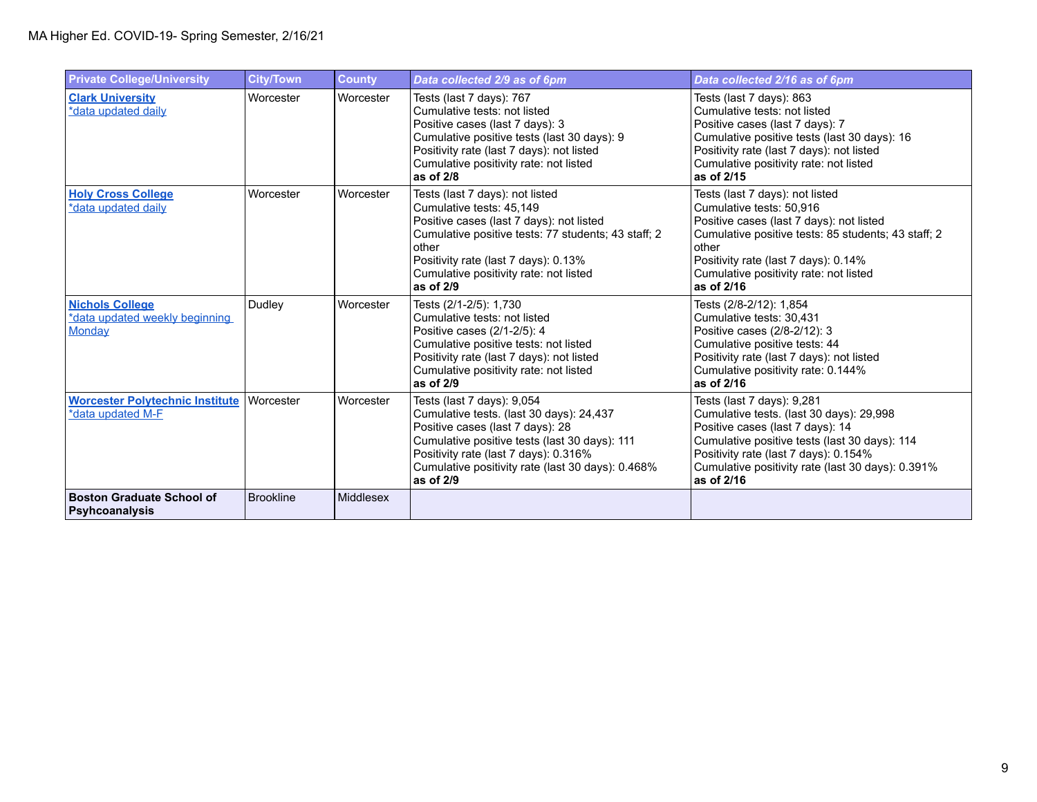| <b>Private College/University</b>                                  | <b>City/Town</b> | <b>County</b>    | Data collected 2/9 as of 6pm                                                                                                                                                                                                                                           | Data collected 2/16 as of 6pm                                                                                                                                                                                                                                           |
|--------------------------------------------------------------------|------------------|------------------|------------------------------------------------------------------------------------------------------------------------------------------------------------------------------------------------------------------------------------------------------------------------|-------------------------------------------------------------------------------------------------------------------------------------------------------------------------------------------------------------------------------------------------------------------------|
| <b>Clark University</b><br>*data updated daily                     | Worcester        | Worcester        | Tests (last 7 days): 767<br>Cumulative tests: not listed<br>Positive cases (last 7 days): 3<br>Cumulative positive tests (last 30 days): 9<br>Positivity rate (last 7 days): not listed<br>Cumulative positivity rate: not listed<br>as of 2/8                         | Tests (last 7 days): 863<br>Cumulative tests: not listed<br>Positive cases (last 7 days): 7<br>Cumulative positive tests (last 30 days): 16<br>Positivity rate (last 7 days): not listed<br>Cumulative positivity rate: not listed<br>as of 2/15                        |
| <b>Holy Cross College</b><br>*data updated daily                   | Worcester        | Worcester        | Tests (last 7 days): not listed<br>Cumulative tests: 45,149<br>Positive cases (last 7 days): not listed<br>Cumulative positive tests: 77 students; 43 staff; 2<br>other<br>Positivity rate (last 7 days): 0.13%<br>Cumulative positivity rate: not listed<br>as of 2/9 | Tests (last 7 days): not listed<br>Cumulative tests: 50,916<br>Positive cases (last 7 days): not listed<br>Cumulative positive tests: 85 students; 43 staff; 2<br>other<br>Positivity rate (last 7 days): 0.14%<br>Cumulative positivity rate: not listed<br>as of 2/16 |
| <b>Nichols College</b><br>*data updated weekly beginning<br>Monday | Dudley           | Worcester        | Tests (2/1-2/5): 1,730<br>Cumulative tests: not listed<br>Positive cases (2/1-2/5): 4<br>Cumulative positive tests: not listed<br>Positivity rate (last 7 days): not listed<br>Cumulative positivity rate: not listed<br>as of 2/9                                     | Tests (2/8-2/12): 1,854<br>Cumulative tests: 30,431<br>Positive cases (2/8-2/12): 3<br>Cumulative positive tests: 44<br>Positivity rate (last 7 days): not listed<br>Cumulative positivity rate: 0.144%<br>as of 2/16                                                   |
| <b>Worcester Polytechnic Institute</b><br>*data updated M-F        | Worcester        | Worcester        | Tests (last 7 days): 9,054<br>Cumulative tests. (last 30 days): 24,437<br>Positive cases (last 7 days): 28<br>Cumulative positive tests (last 30 days): 111<br>Positivity rate (last 7 days): 0.316%<br>Cumulative positivity rate (last 30 days): 0.468%<br>as of 2/9 | Tests (last 7 days): 9,281<br>Cumulative tests. (last 30 days): 29,998<br>Positive cases (last 7 days): 14<br>Cumulative positive tests (last 30 days): 114<br>Positivity rate (last 7 days): 0.154%<br>Cumulative positivity rate (last 30 days): 0.391%<br>as of 2/16 |
| Boston Graduate School of<br>Psyhcoanalysis                        | <b>Brookline</b> | <b>Middlesex</b> |                                                                                                                                                                                                                                                                        |                                                                                                                                                                                                                                                                         |